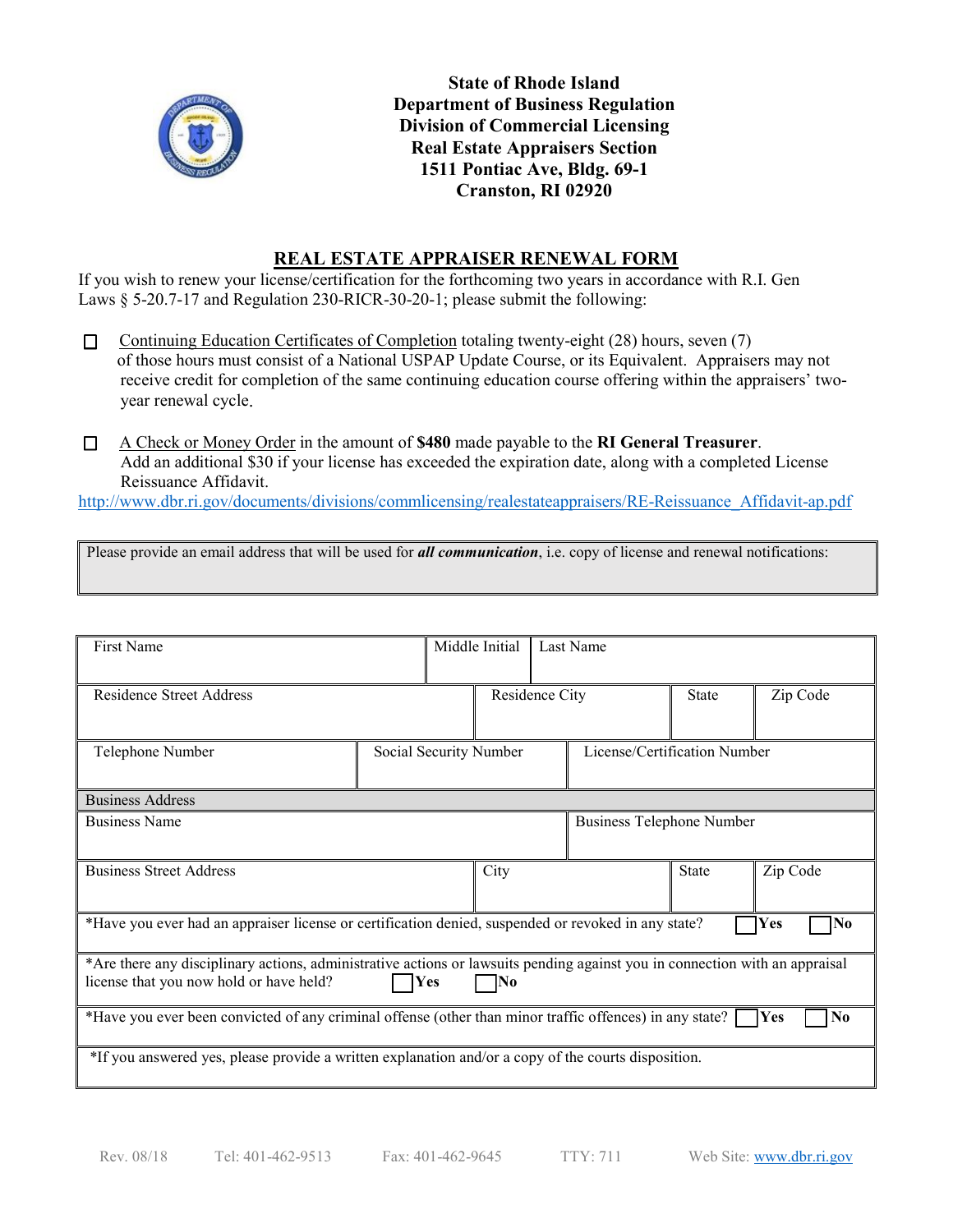

**State of Rhode Island Department of Business Regulation Division of Commercial Licensing Real Estate Appraisers Section 1511 Pontiac Ave, Bldg. 69-1 Cranston, RI 02920**

## **REAL ESTATE APPRAISER RENEWAL FORM**

If you wish to renew your license/certification for the forthcoming two years in accordance with R.I. Gen Laws § 5-20.7-17 and Regulation 230-RICR-30-20-1; please submit the following:

- $\Box$ Continuing Education Certificates of Completion totaling twenty-eight (28) hours, seven (7) of those hours must consist of a National USPAP Update Course, or its Equivalent. Appraisers may not receive credit for completion of the same continuing education course offering within the appraisers' twoyear renewal cycle.
- $\Box$ A Check or Money Order in the amount of **\$480** made payable to the **RI General Treasurer**. Add an additional \$30 if your license has exceeded the expiration date, along with a completed License Reissuance Affidavit.

[http://www.dbr.ri.gov/documents/divisions/commlicensing/realestateappraisers/RE-Reissuance\\_Affidavit-ap.pdf](http://www.dbr.ri.gov/documents/divisions/commlicensing/realestateappraisers/RE-Reissuance_Affidavit-ap.pdf)

Please provide an email address that will be used for *all communication*, i.e. copy of license and renewal notifications:

| First Name                                                                                                                                                                           |                        |  | Middle Initial |                                  | Last Name                    |          |  |
|--------------------------------------------------------------------------------------------------------------------------------------------------------------------------------------|------------------------|--|----------------|----------------------------------|------------------------------|----------|--|
| <b>Residence Street Address</b>                                                                                                                                                      |                        |  | Residence City |                                  | <b>State</b>                 | Zip Code |  |
| Telephone Number                                                                                                                                                                     | Social Security Number |  |                |                                  | License/Certification Number |          |  |
| <b>Business Address</b>                                                                                                                                                              |                        |  |                |                                  |                              |          |  |
| <b>Business Name</b>                                                                                                                                                                 |                        |  |                | <b>Business Telephone Number</b> |                              |          |  |
| <b>Business Street Address</b>                                                                                                                                                       |                        |  | City           |                                  | <b>State</b>                 | Zip Code |  |
| *Have you ever had an appraiser license or certification denied, suspended or revoked in any state?<br>Yes<br> No                                                                    |                        |  |                |                                  |                              |          |  |
| *Are there any disciplinary actions, administrative actions or lawsuits pending against you in connection with an appraisal<br>license that you now hold or have held?<br>Yes<br> No |                        |  |                |                                  |                              |          |  |
| *Have you ever been convicted of any criminal offense (other than minor traffic offences) in any state?<br>Yes<br>N <sub>0</sub>                                                     |                        |  |                |                                  |                              |          |  |
| *If you answered yes, please provide a written explanation and/or a copy of the courts disposition.                                                                                  |                        |  |                |                                  |                              |          |  |